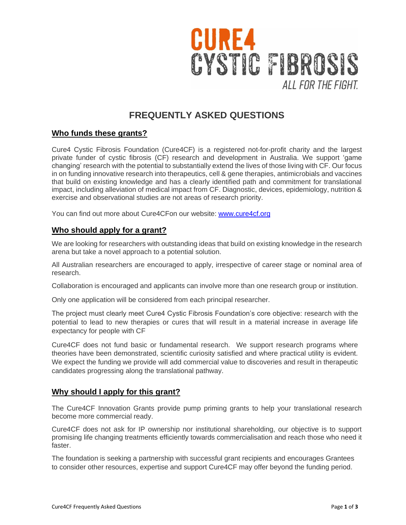

# **FREQUENTLY ASKED QUESTIONS**

# **Who funds these grants?**

Cure4 Cystic Fibrosis Foundation (Cure4CF) is a registered not-for-profit charity and the largest private funder of cystic fibrosis (CF) research and development in Australia. We support 'game changing' research with the potential to substantially extend the lives of those living with CF. Our focus in on funding innovative research into therapeutics, cell & gene therapies, antimicrobials and vaccines that build on existing knowledge and has a clearly identified path and commitment for translational impact, including alleviation of medical impact from CF. Diagnostic, devices, epidemiology, nutrition & exercise and observational studies are not areas of research priority.

You can find out more about Cure4CFon our website: [www.cure4cf.org](http://www.cure4cf.org/)

## **Who should apply for a grant?**

We are looking for researchers with outstanding ideas that build on existing knowledge in the research arena but take a novel approach to a potential solution.

All Australian researchers are encouraged to apply, irrespective of career stage or nominal area of research.

Collaboration is encouraged and applicants can involve more than one research group or institution.

Only one application will be considered from each principal researcher.

The project must clearly meet Cure4 Cystic Fibrosis Foundation's core objective: research with the potential to lead to new therapies or cures that will result in a material increase in average life expectancy for people with CF

Cure4CF does not fund basic or fundamental research. We support research programs where theories have been demonstrated, scientific curiosity satisfied and where practical utility is evident. We expect the funding we provide will add commercial value to discoveries and result in therapeutic candidates progressing along the translational pathway.

#### **Why should I apply for this grant?**

The Cure4CF Innovation Grants provide pump priming grants to help your translational research become more commercial ready.

Cure4CF does not ask for IP ownership nor institutional shareholding, our objective is to support promising life changing treatments efficiently towards commercialisation and reach those who need it faster.

The foundation is seeking a partnership with successful grant recipients and encourages Grantees to consider other resources, expertise and support Cure4CF may offer beyond the funding period.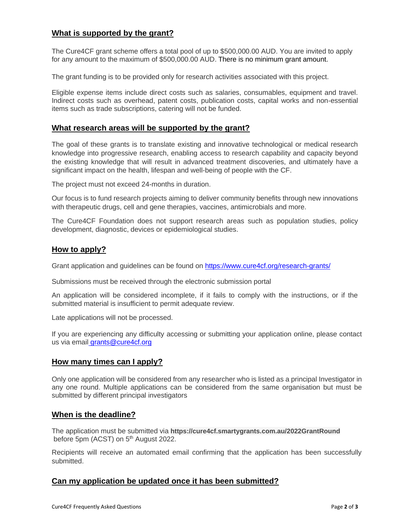### **What is supported by the grant?**

The Cure4CF grant scheme offers a total pool of up to \$500,000.00 AUD. You are invited to apply for any amount to the maximum of \$500,000.00 AUD. There is no minimum grant amount.

The grant funding is to be provided only for research activities associated with this project.

Eligible expense items include direct costs such as salaries, consumables, equipment and travel. Indirect costs such as overhead, patent costs, publication costs, capital works and non-essential items such as trade subscriptions, catering will not be funded.

### **What research areas will be supported by the grant?**

The goal of these grants is to translate existing and innovative technological or medical research knowledge into progressive research, enabling access to research capability and capacity beyond the existing knowledge that will result in advanced treatment discoveries, and ultimately have a significant impact on the health, lifespan and well-being of people with the CF.

The project must not exceed 24-months in duration.

Our focus is to fund research projects aiming to deliver community benefits through new innovations with therapeutic drugs, cell and gene therapies, vaccines, antimicrobials and more.

The Cure4CF Foundation does not support research areas such as population studies, policy development, diagnostic, devices or epidemiological studies.

#### **[How to apply?](https://www.australiacouncil.gov.au/funding/the-application-process-faqs/)**

Grant application and guidelines can be found on <https://www.cure4cf.org/research-grants/>

Submissions must be received through the electronic submission portal

An application will be considered incomplete, if it fails to comply with the instructions, or if the submitted material is insufficient to permit adequate review.

Late applications will not be processed.

If you are experiencing any difficulty accessing or submitting your application online, please contact us via email grants@cure4cf.org

# **[How many times can I apply?](https://www.australiacouncil.gov.au/funding/the-application-process-faqs/)**

Only one application will be considered from any researcher who is listed as a principal Investigator in any one round. Multiple applications can be considered from the same organisation but must be submitted by different principal investigators

#### **[When is the deadline?](https://www.australiacouncil.gov.au/funding/the-application-process-faqs/)**

The application must be submitted via **https://cure4cf.smartygrants.com.au/2022GrantRound** before 5pm (ACST) on 5<sup>th</sup> August 2022.

Recipients will receive an automated email confirming that the application has been successfully submitted.

#### **[Can my application be updated once it has been submitted?](https://www.australiacouncil.gov.au/funding/the-application-process-faqs/)**